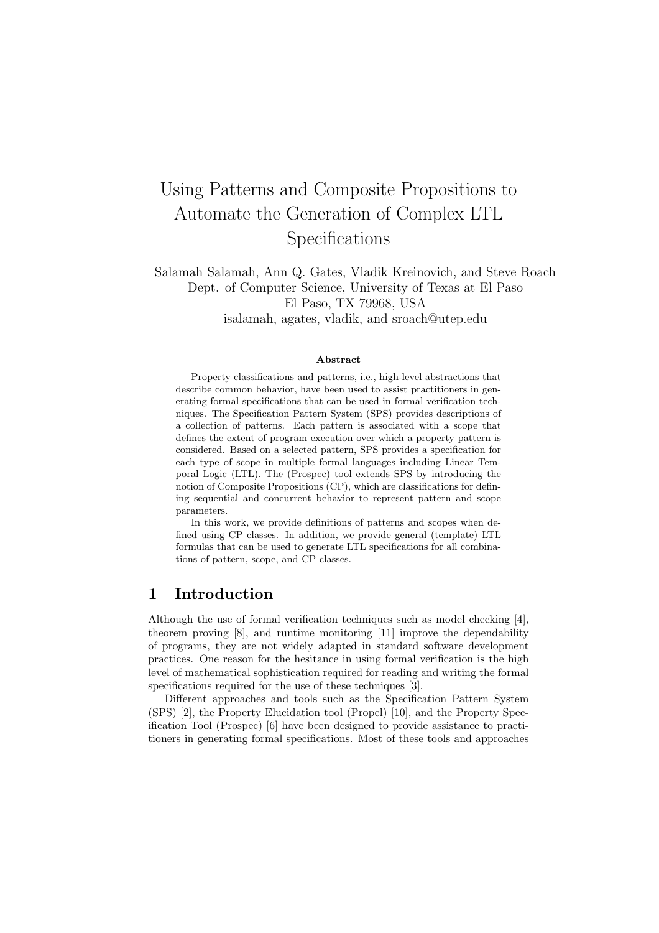# Using Patterns and Composite Propositions to Automate the Generation of Complex LTL Specifications

Salamah Salamah, Ann Q. Gates, Vladik Kreinovich, and Steve Roach Dept. of Computer Science, University of Texas at El Paso El Paso, TX 79968, USA isalamah, agates, vladik, and sroach@utep.edu

#### Abstract

Property classifications and patterns, i.e., high-level abstractions that describe common behavior, have been used to assist practitioners in generating formal specifications that can be used in formal verification techniques. The Specification Pattern System (SPS) provides descriptions of a collection of patterns. Each pattern is associated with a scope that defines the extent of program execution over which a property pattern is considered. Based on a selected pattern, SPS provides a specification for each type of scope in multiple formal languages including Linear Temporal Logic (LTL). The (Prospec) tool extends SPS by introducing the notion of Composite Propositions (CP), which are classifications for defining sequential and concurrent behavior to represent pattern and scope parameters.

In this work, we provide definitions of patterns and scopes when defined using CP classes. In addition, we provide general (template) LTL formulas that can be used to generate LTL specifications for all combinations of pattern, scope, and CP classes.

#### 1 Introduction

Although the use of formal verification techniques such as model checking [4], theorem proving [8], and runtime monitoring [11] improve the dependability of programs, they are not widely adapted in standard software development practices. One reason for the hesitance in using formal verification is the high level of mathematical sophistication required for reading and writing the formal specifications required for the use of these techniques [3].

Different approaches and tools such as the Specification Pattern System (SPS) [2], the Property Elucidation tool (Propel) [10], and the Property Specification Tool (Prospec) [6] have been designed to provide assistance to practitioners in generating formal specifications. Most of these tools and approaches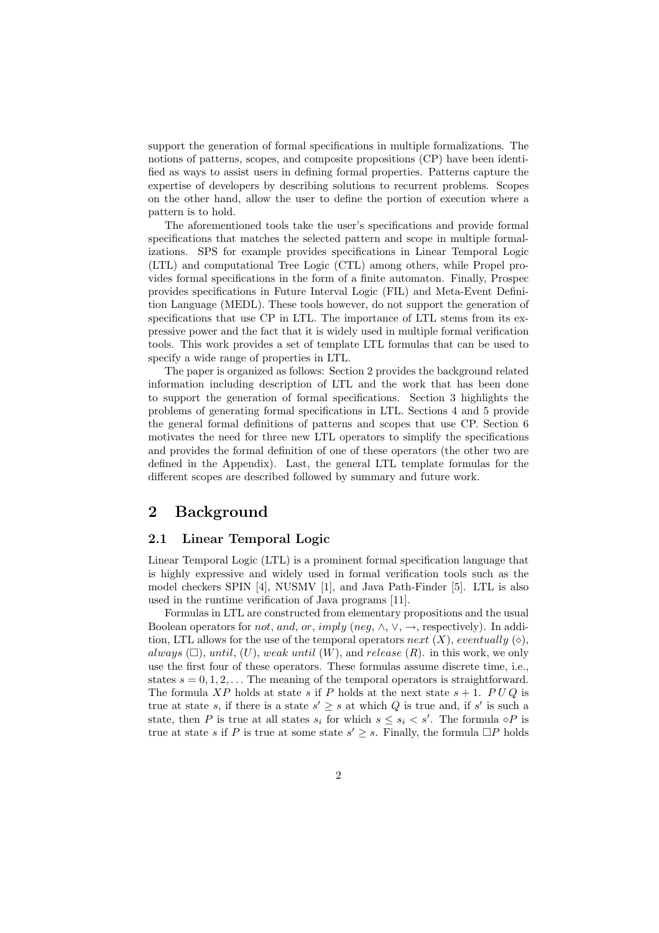support the generation of formal specifications in multiple formalizations. The notions of patterns, scopes, and composite propositions (CP) have been identified as ways to assist users in defining formal properties. Patterns capture the expertise of developers by describing solutions to recurrent problems. Scopes on the other hand, allow the user to define the portion of execution where a pattern is to hold.

The aforementioned tools take the user's specifications and provide formal specifications that matches the selected pattern and scope in multiple formalizations. SPS for example provides specifications in Linear Temporal Logic (LTL) and computational Tree Logic (CTL) among others, while Propel provides formal specifications in the form of a finite automaton. Finally, Prospec provides specifications in Future Interval Logic (FIL) and Meta-Event Definition Language (MEDL). These tools however, do not support the generation of specifications that use CP in LTL. The importance of LTL stems from its expressive power and the fact that it is widely used in multiple formal verification tools. This work provides a set of template LTL formulas that can be used to specify a wide range of properties in LTL.

The paper is organized as follows: Section 2 provides the background related information including description of LTL and the work that has been done to support the generation of formal specifications. Section 3 highlights the problems of generating formal specifications in LTL. Sections 4 and 5 provide the general formal definitions of patterns and scopes that use CP. Section 6 motivates the need for three new LTL operators to simplify the specifications and provides the formal definition of one of these operators (the other two are defined in the Appendix). Last, the general LTL template formulas for the different scopes are described followed by summary and future work.

## 2 Background

#### 2.1 Linear Temporal Logic

Linear Temporal Logic (LTL) is a prominent formal specification language that is highly expressive and widely used in formal verification tools such as the model checkers SPIN [4], NUSMV [1], and Java Path-Finder [5]. LTL is also used in the runtime verification of Java programs [11].

Formulas in LTL are constructed from elementary propositions and the usual Boolean operators for *not*, and, or, imply (neg,  $\wedge$ ,  $\vee$ ,  $\rightarrow$ , respectively). In addition, LTL allows for the use of the temporal operators next  $(X)$ , eventually  $(\diamond),$ always  $(\Box)$ , until,  $(U)$ , weak until  $(W)$ , and release  $(R)$ . in this work, we only use the first four of these operators. These formulas assume discrete time, i.e., states  $s = 0, 1, 2, \ldots$  The meaning of the temporal operators is straightforward. The formula XP holds at state s if P holds at the next state  $s + 1$ . PUQ is true at state s, if there is a state  $s' \geq s$  at which Q is true and, if s' is such a state, then P is true at all states  $s_i$  for which  $s \leq s_i < s'$ . The formula  $\circ P$  is true at state s if P is true at some state  $s' \geq s$ . Finally, the formula  $\Box P$  holds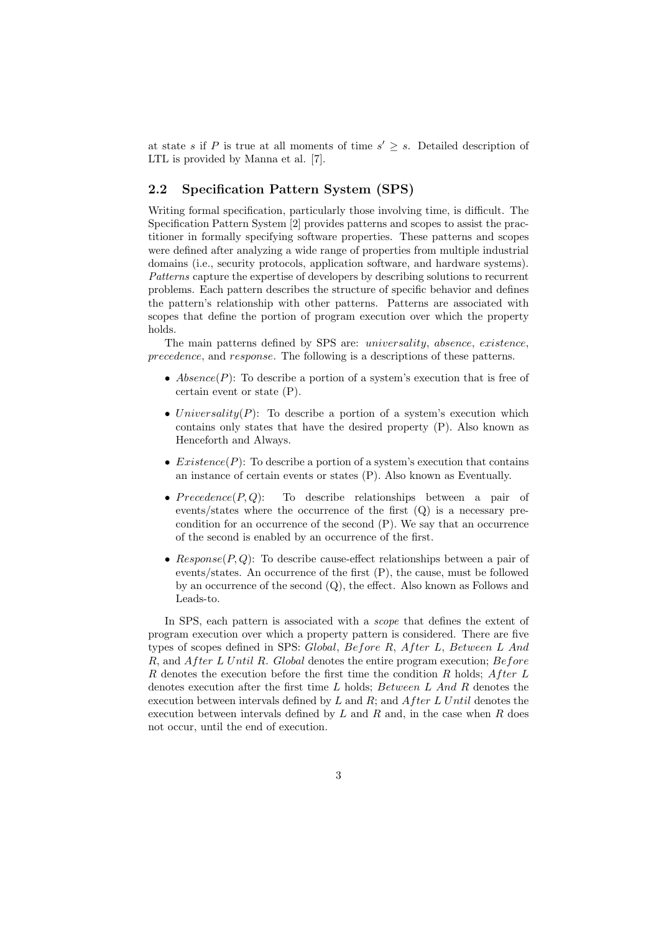at state s if P is true at all moments of time  $s' \geq s$ . Detailed description of LTL is provided by Manna et al. [7].

#### 2.2 Specification Pattern System (SPS)

Writing formal specification, particularly those involving time, is difficult. The Specification Pattern System [2] provides patterns and scopes to assist the practitioner in formally specifying software properties. These patterns and scopes were defined after analyzing a wide range of properties from multiple industrial domains (i.e., security protocols, application software, and hardware systems). Patterns capture the expertise of developers by describing solutions to recurrent problems. Each pattern describes the structure of specific behavior and defines the pattern's relationship with other patterns. Patterns are associated with scopes that define the portion of program execution over which the property holds.

The main patterns defined by SPS are: universality, absence, existence, precedence, and response. The following is a descriptions of these patterns.

- Absence(P): To describe a portion of a system's execution that is free of certain event or state (P).
- Universality(P): To describe a portion of a system's execution which contains only states that have the desired property (P). Also known as Henceforth and Always.
- Existence(P): To describe a portion of a system's execution that contains an instance of certain events or states (P). Also known as Eventually.
- $Precedence(P,Q):$  To describe relationships between a pair of events/states where the occurrence of the first (Q) is a necessary precondition for an occurrence of the second (P). We say that an occurrence of the second is enabled by an occurrence of the first.
- Response( $P, Q$ ): To describe cause-effect relationships between a pair of events/states. An occurrence of the first (P), the cause, must be followed by an occurrence of the second (Q), the effect. Also known as Follows and Leads-to.

In SPS, each pattern is associated with a *scope* that defines the extent of program execution over which a property pattern is considered. There are five types of scopes defined in SPS: Global, Before R, After L, Between L And  $R$ , and  $After L Until R$ . Global denotes the entire program execution;  $Before$ R denotes the execution before the first time the condition R holds;  $After L$ denotes execution after the first time L holds; Between L And R denotes the execution between intervals defined by  $L$  and  $R$ ; and  $After L Until$  denotes the execution between intervals defined by  $L$  and  $R$  and, in the case when  $R$  does not occur, until the end of execution.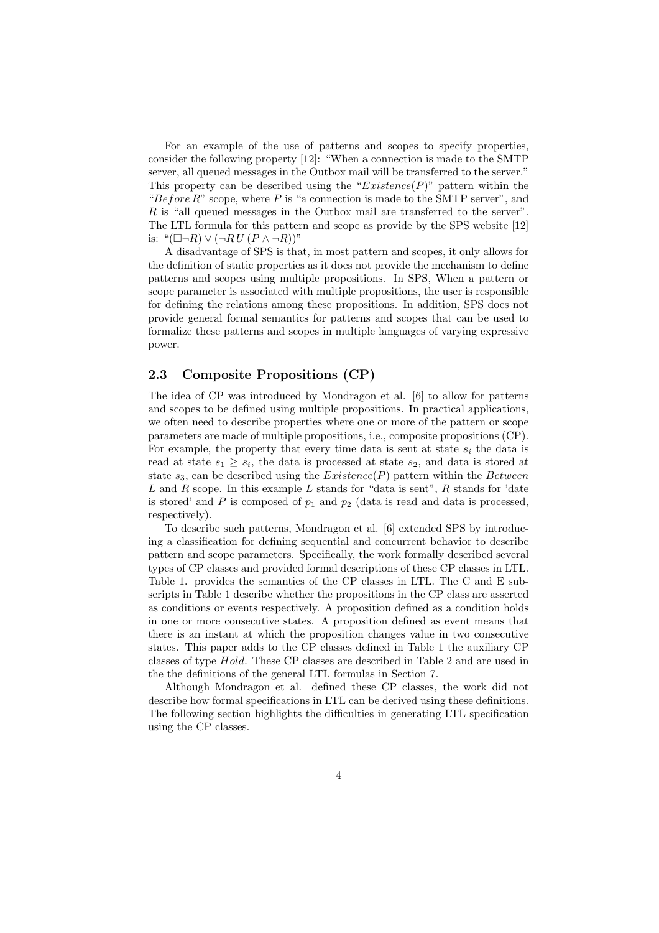For an example of the use of patterns and scopes to specify properties, consider the following property [12]: "When a connection is made to the SMTP server, all queued messages in the Outbox mail will be transferred to the server." This property can be described using the " $Existence(P)$ " pattern within the "Before  $R$ " scope, where  $P$  is "a connection is made to the SMTP server", and R is "all queued messages in the Outbox mail are transferred to the server". The LTL formula for this pattern and scope as provide by the SPS website [12] is: " $(\Box \neg R) \vee (\neg R U (P \wedge \neg R))$ "

A disadvantage of SPS is that, in most pattern and scopes, it only allows for the definition of static properties as it does not provide the mechanism to define patterns and scopes using multiple propositions. In SPS, When a pattern or scope parameter is associated with multiple propositions, the user is responsible for defining the relations among these propositions. In addition, SPS does not provide general formal semantics for patterns and scopes that can be used to formalize these patterns and scopes in multiple languages of varying expressive power.

#### 2.3 Composite Propositions (CP)

The idea of CP was introduced by Mondragon et al. [6] to allow for patterns and scopes to be defined using multiple propositions. In practical applications, we often need to describe properties where one or more of the pattern or scope parameters are made of multiple propositions, i.e., composite propositions (CP). For example, the property that every time data is sent at state  $s_i$  the data is read at state  $s_1 \geq s_i$ , the data is processed at state  $s_2$ , and data is stored at state  $s_3$ , can be described using the  $Existence(P)$  pattern within the Between  $L$  and  $R$  scope. In this example  $L$  stands for "data is sent",  $R$  stands for 'date is stored' and  $P$  is composed of  $p_1$  and  $p_2$  (data is read and data is processed, respectively).

To describe such patterns, Mondragon et al. [6] extended SPS by introducing a classification for defining sequential and concurrent behavior to describe pattern and scope parameters. Specifically, the work formally described several types of CP classes and provided formal descriptions of these CP classes in LTL. Table 1. provides the semantics of the CP classes in LTL. The C and E subscripts in Table 1 describe whether the propositions in the CP class are asserted as conditions or events respectively. A proposition defined as a condition holds in one or more consecutive states. A proposition defined as event means that there is an instant at which the proposition changes value in two consecutive states. This paper adds to the CP classes defined in Table 1 the auxiliary CP classes of type Hold. These CP classes are described in Table 2 and are used in the the definitions of the general LTL formulas in Section 7.

Although Mondragon et al. defined these CP classes, the work did not describe how formal specifications in LTL can be derived using these definitions. The following section highlights the difficulties in generating LTL specification using the CP classes.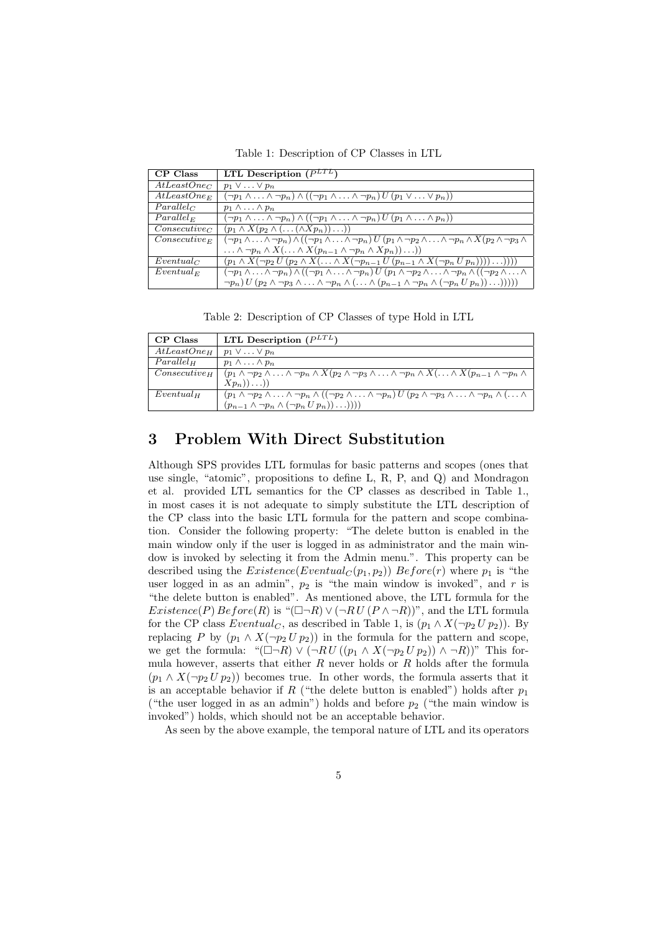Table 1: Description of CP Classes in LTL

| CP Class                | LTL Description $(P^{LTL})$                                                                                                                                                             |
|-------------------------|-----------------------------------------------------------------------------------------------------------------------------------------------------------------------------------------|
| AtLeastOne <sub>C</sub> | $p_1 \vee \ldots \vee p_n$                                                                                                                                                              |
| $AtLeastOne_E$          | $(\neg p_1 \land \ldots \land \neg p_n) \land ((\neg p_1 \land \ldots \land \neg p_n) U (p_1 \lor \ldots \lor p_n))$                                                                    |
| $Parallel_C$            | $p_1 \wedge \ldots \wedge p_n$                                                                                                                                                          |
| $Parallel_{E}$          | $(\neg p_1 \land \ldots \land \neg p_n) \land ((\neg p_1 \land \ldots \land \neg p_n) U (p_1 \land \ldots \land p_n))$                                                                  |
| $Consecutive_C$         | $(p_1 \wedge X(p_2 \wedge (\ldots (\wedge Xp_n)) \ldots))$                                                                                                                              |
| $Consecutive_E$         | $(\neg p_1 \land \ldots \land \neg p_n) \land ((\neg p_1 \land \ldots \land \neg p_n) U (p_1 \land \neg p_2 \land \ldots \land \neg p_n \land X (p_2 \land \neg p_3 \land$              |
|                         | $\ldots \wedge \neg p_n \wedge X(\ldots \wedge X(p_{n-1} \wedge \neg p_n \wedge Xp_n)) \ldots))$                                                                                        |
| $Eventual_C$            | $(p_1 \wedge X(\neg p_2 U(p_2 \wedge X(\ldots \wedge X(\neg p_{n-1} U(p_{n-1} \wedge X(\neg p_n U p_n))))\ldots))))$                                                                    |
| $Eventual_F$            | $(\neg p_1 \wedge \ldots \wedge \neg p_n) \wedge ((\neg p_1 \wedge \ldots \wedge \neg p_n) U (p_1 \wedge \neg p_2 \wedge \ldots \wedge \neg p_n \wedge ((\neg p_2 \wedge \ldots \wedge$ |
|                         | $\neg p_n) U (p_2 \wedge \neg p_3 \wedge \ldots \wedge \neg p_n \wedge (\ldots \wedge (p_{n-1} \wedge \neg p_n \wedge (\neg p_n \cup p_n)) \ldots))))$                                  |

Table 2: Description of CP Classes of type Hold in LTL

| CP Class                | LTL Description $(P^{LTL})$                                                                                                                                                      |
|-------------------------|----------------------------------------------------------------------------------------------------------------------------------------------------------------------------------|
| AtLeastOne <sub>H</sub> | $p_1 \vee \ldots \vee p_n$                                                                                                                                                       |
| $Parallel_H$            | $p_1 \wedge \ldots \wedge p_n$                                                                                                                                                   |
| $Consecutive_{H}$       | $(p_1 \wedge \neg p_2 \wedge \ldots \wedge \neg p_n \wedge X(p_2 \wedge \neg p_3 \wedge \ldots \wedge \neg p_n \wedge X(\ldots \wedge X(p_{n-1} \wedge \neg p_n \wedge$          |
|                         | $(Xp_n))\ldots)$                                                                                                                                                                 |
| $Eventual_H$            | $(p_1 \wedge \neg p_2 \wedge \ldots \wedge \neg p_n \wedge ((\neg p_2 \wedge \ldots \wedge \neg p_n) U (p_2 \wedge \neg p_3 \wedge \ldots \wedge \neg p_n \wedge (\ldots \wedge$ |
|                         | $(p_{n-1} \wedge \neg p_n \wedge (\neg p_n U p_n)) \dots)))$                                                                                                                     |

## 3 Problem With Direct Substitution

Although SPS provides LTL formulas for basic patterns and scopes (ones that use single, "atomic", propositions to define L, R, P, and Q) and Mondragon et al. provided LTL semantics for the CP classes as described in Table 1., in most cases it is not adequate to simply substitute the LTL description of the CP class into the basic LTL formula for the pattern and scope combination. Consider the following property: "The delete button is enabled in the main window only if the user is logged in as administrator and the main window is invoked by selecting it from the Admin menu.". This property can be described using the  $Existence(Eventual_C(p_1, p_2))$   $Before(r)$  where  $p_1$  is "the user logged in as an admin",  $p_2$  is "the main window is invoked", and r is "the delete button is enabled". As mentioned above, the LTL formula for the  $Existence(P) Before(R)$  is " $(\Box \neg R) \vee (\neg R U (P \wedge \neg R))$ ", and the LTL formula for the CP class  $Eventual_C$ , as described in Table 1, is  $(p_1 \wedge X(\neg p_2 U p_2))$ . By replacing P by  $(p_1 \wedge X(\neg p_2 U p_2))$  in the formula for the pattern and scope, we get the formula: " $(\Box \neg R) \vee (\neg R U ((p_1 \wedge X (\neg p_2 U p_2)) \wedge \neg R))$ " This formula however, asserts that either  $R$  never holds or  $R$  holds after the formula  $(p_1 \wedge X(\neg p_2 U p_2))$  becomes true. In other words, the formula asserts that it is an acceptable behavior if R ("the delete button is enabled") holds after  $p_1$ ("the user logged in as an admin") holds and before  $p_2$  ("the main window is invoked") holds, which should not be an acceptable behavior.

As seen by the above example, the temporal nature of LTL and its operators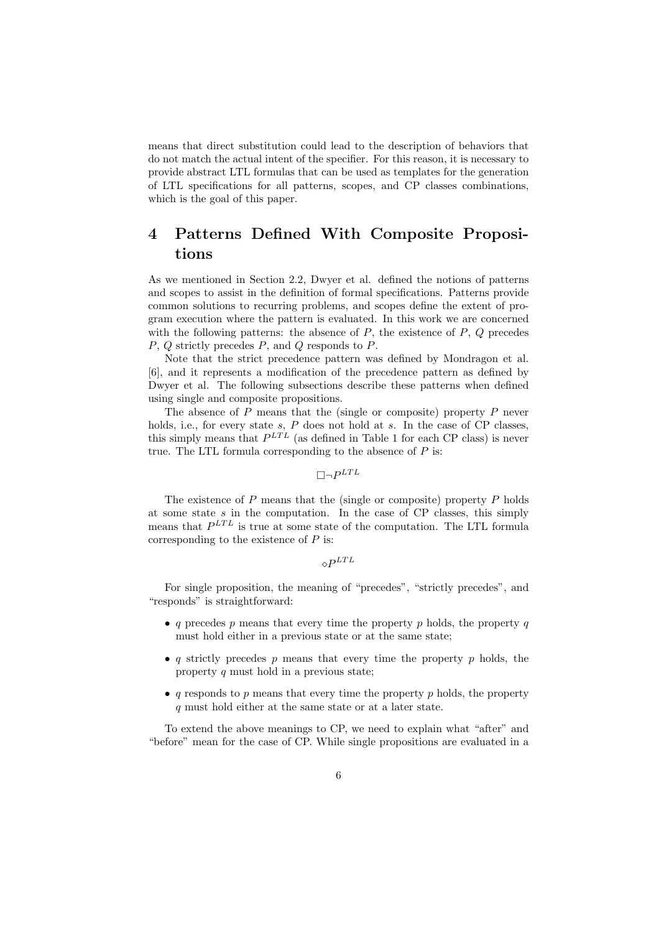means that direct substitution could lead to the description of behaviors that do not match the actual intent of the specifier. For this reason, it is necessary to provide abstract LTL formulas that can be used as templates for the generation of LTL specifications for all patterns, scopes, and CP classes combinations, which is the goal of this paper.

## 4 Patterns Defined With Composite Propositions

As we mentioned in Section 2.2, Dwyer et al. defined the notions of patterns and scopes to assist in the definition of formal specifications. Patterns provide common solutions to recurring problems, and scopes define the extent of program execution where the pattern is evaluated. In this work we are concerned with the following patterns: the absence of  $P$ , the existence of  $P$ ,  $Q$  precedes P, Q strictly precedes P, and Q responds to P.

Note that the strict precedence pattern was defined by Mondragon et al. [6], and it represents a modification of the precedence pattern as defined by Dwyer et al. The following subsections describe these patterns when defined using single and composite propositions.

The absence of  $P$  means that the (single or composite) property  $P$  never holds, i.e., for every state  $s$ ,  $P$  does not hold at  $s$ . In the case of CP classes, this simply means that  $P^{LTL}$  (as defined in Table 1 for each CP class) is never true. The LTL formula corresponding to the absence of  $P$  is:

 $\Box\neg P^{LTL}$ 

The existence of  $P$  means that the (single or composite) property  $P$  holds at some state s in the computation. In the case of CP classes, this simply means that  $P^{LTL}$  is true at some state of the computation. The LTL formula corresponding to the existence of  $P$  is:

 $\diamond P^{LTL}$ 

For single proposition, the meaning of "precedes", "strictly precedes", and "responds" is straightforward:

- q precedes  $p$  means that every time the property  $p$  holds, the property  $q$ must hold either in a previous state or at the same state;
- q strictly precedes p means that every time the property p holds, the property  $q$  must hold in a previous state;
- q responds to p means that every time the property p holds, the property q must hold either at the same state or at a later state.

To extend the above meanings to CP, we need to explain what "after" and "before" mean for the case of CP. While single propositions are evaluated in a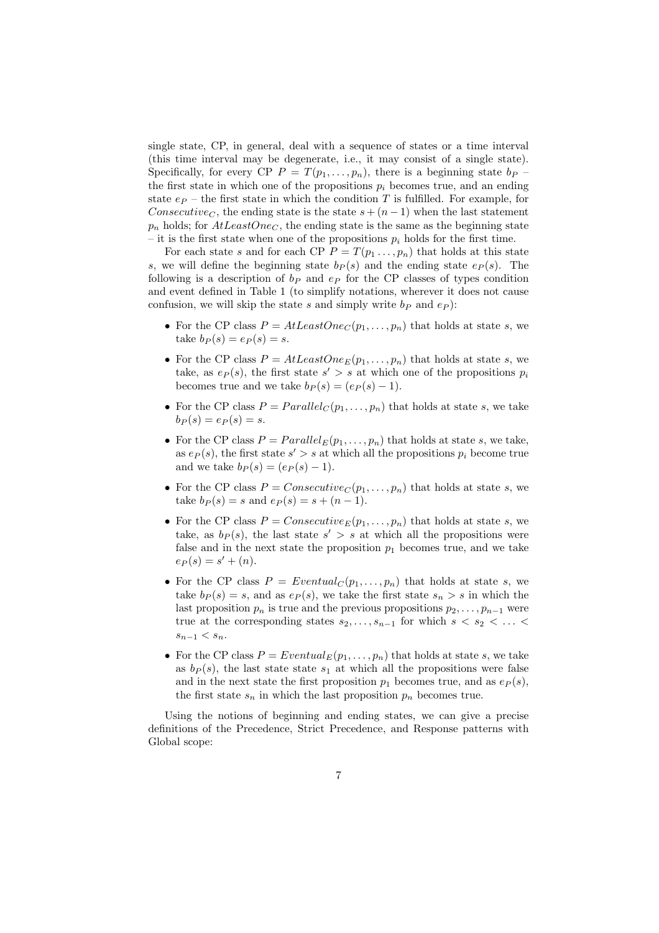single state, CP, in general, deal with a sequence of states or a time interval (this time interval may be degenerate, i.e., it may consist of a single state). Specifically, for every CP  $P = T(p_1, \ldots, p_n)$ , there is a beginning state  $b_P$ the first state in which one of the propositions  $p_i$  becomes true, and an ending state  $e_P$  – the first state in which the condition T is fulfilled. For example, for Consecutive<sub>C</sub>, the ending state is the state  $s + (n-1)$  when the last statement  $p_n$  holds; for  $AtLeastOne<sub>C</sub>$ , the ending state is the same as the beginning state – it is the first state when one of the propositions  $p_i$  holds for the first time.

For each state s and for each CP  $P = T(p_1, \ldots, p_n)$  that holds at this state s, we will define the beginning state  $b_P (s)$  and the ending state  $e_P (s)$ . The following is a description of  $b<sub>P</sub>$  and  $e<sub>P</sub>$  for the CP classes of types condition and event defined in Table 1 (to simplify notations, wherever it does not cause confusion, we will skip the state s and simply write  $b_P$  and  $e_P$ ):

- For the CP class  $P = AtLeastOne_C(p_1, \ldots, p_n)$  that holds at state s, we take  $b_P(s) = e_P(s) = s$ .
- For the CP class  $P = AtLeastOne_E(p_1, \ldots, p_n)$  that holds at state s, we take, as  $e_P(s)$ , the first state  $s' > s$  at which one of the propositions  $p_i$ becomes true and we take  $b_P(s) = (e_P(s) - 1)$ .
- For the CP class  $P = Parallel_C(p_1, \ldots, p_n)$  that holds at state s, we take  $b_P(s) = e_P(s) = s.$
- For the CP class  $P = Parallel_E(p_1, \ldots, p_n)$  that holds at state s, we take, as  $e_P(s)$ , the first state  $s' > s$  at which all the propositions  $p_i$  become true and we take  $b_P(s) = (e_P(s) - 1)$ .
- For the CP class  $P = Consecutive_C(p_1, \ldots, p_n)$  that holds at state s, we take  $b_P(s) = s$  and  $e_P(s) = s + (n - 1)$ .
- For the CP class  $P = \text{Consecutive}_E(p_1, \ldots, p_n)$  that holds at state s, we take, as  $b_P(s)$ , the last state  $s' > s$  at which all the propositions were false and in the next state the proposition  $p_1$  becomes true, and we take  $e_P(s) = s' + (n).$
- For the CP class  $P = Eventually(p_1, \ldots, p_n)$  that holds at state s, we take  $b_P(s) = s$ , and as  $e_P(s)$ , we take the first state  $s_n > s$  in which the last proposition  $p_n$  is true and the previous propositions  $p_2, \ldots, p_{n-1}$  were true at the corresponding states  $s_2, \ldots, s_{n-1}$  for which  $s \lt s_2 \lt \ldots \lt s_n$  $s_{n-1} < s_n$ .
- For the CP class  $P = Eventually(p_1, \ldots, p_n)$  that holds at state s, we take as  $b_P(s)$ , the last state state  $s_1$  at which all the propositions were false and in the next state the first proposition  $p_1$  becomes true, and as  $e_P(s)$ , the first state  $s_n$  in which the last proposition  $p_n$  becomes true.

Using the notions of beginning and ending states, we can give a precise definitions of the Precedence, Strict Precedence, and Response patterns with Global scope: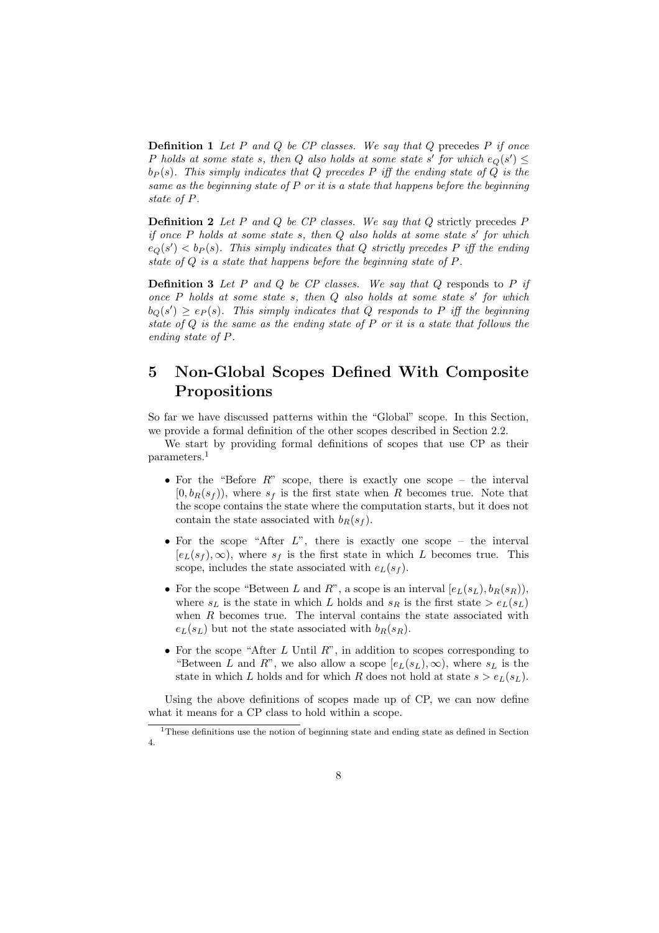**Definition 1** Let P and Q be CP classes. We say that Q precedes P if once P holds at some state s, then Q also holds at some state s' for which  $e_Q(s') \leq$  $b_P(s)$ . This simply indicates that Q precedes P iff the ending state of Q is the same as the beginning state of  $P$  or it is a state that happens before the beginning state of P.

**Definition 2** Let P and Q be CP classes. We say that  $Q$  strictly precedes P if once  $P$  holds at some state  $s$ , then  $Q$  also holds at some state  $s'$  for which  $e_Q(s') < b_P(s)$ . This simply indicates that Q strictly precedes P iff the ending state of Q is a state that happens before the beginning state of P.

**Definition 3** Let P and Q be CP classes. We say that  $Q$  responds to P if once  $P$  holds at some state  $s$ , then  $Q$  also holds at some state  $s'$  for which  $b_Q(s') \geq e_P(s)$ . This simply indicates that Q responds to P iff the beginning state of Q is the same as the ending state of P or it is a state that follows the ending state of P.

## 5 Non-Global Scopes Defined With Composite Propositions

So far we have discussed patterns within the "Global" scope. In this Section, we provide a formal definition of the other scopes described in Section 2.2.

We start by providing formal definitions of scopes that use CP as their parameters.<sup>1</sup>

- For the "Before  $R$ " scope, there is exactly one scope the interval  $[0, b_R(s_f))$ , where  $s_f$  is the first state when R becomes true. Note that the scope contains the state where the computation starts, but it does not contain the state associated with  $b_R(s_f)$ .
- For the scope "After  $L$ ", there is exactly one scope the interval  $[e_L(s_f), \infty)$ , where  $s_f$  is the first state in which L becomes true. This scope, includes the state associated with  $e_L(s_f)$ .
- For the scope "Between L and R", a scope is an interval  $[e_L(s_L), b_R(s_R)]$ , where  $s_L$  is the state in which L holds and  $s_R$  is the first state  $> e_L(s_L)$ when  $R$  becomes true. The interval contains the state associated with  $e_L(s_L)$  but not the state associated with  $b_R(s_R)$ .
- For the scope "After  $L$  Until  $R$ ", in addition to scopes corresponding to "Between L and R", we also allow a scope  $[e_L(s_L), \infty)$ , where  $s_L$  is the state in which L holds and for which R does not hold at state  $s > e_L(s_L)$ .

Using the above definitions of scopes made up of CP, we can now define what it means for a CP class to hold within a scope.

<sup>1</sup>These definitions use the notion of beginning state and ending state as defined in Section 4.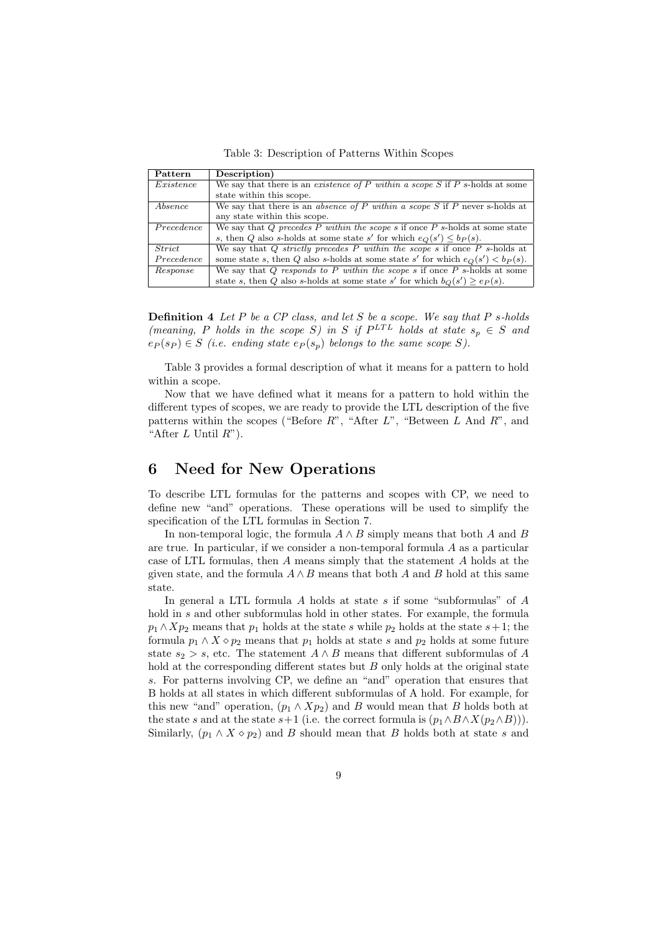Table 3: Description of Patterns Within Scopes

| Pattern    | Description)                                                                      |
|------------|-----------------------------------------------------------------------------------|
| Existence  | We say that there is an existence of P within a scope S if P s-holds at some      |
|            | state within this scope.                                                          |
| Absence    | We say that there is an absence of P within a scope S if P never s-holds at       |
|            | any state within this scope.                                                      |
| Precedence | We say that Q precedes P within the scope s if once $P$ s-holds at some state     |
|            | s, then Q also s-holds at some state s' for which $e_Q(s') \leq b_P(s)$ .         |
| Strict     | We say that Q strictly precedes P within the scope s if once P s-holds at         |
| Precedence | some state s, then Q also s-holds at some state s' for which $e_O(s') < b_P(s)$ . |
| Response   | We say that Q responds to P within the scope s if once $P$ s-holds at some        |
|            | state s, then Q also s-holds at some state s' for which $b_O(s') \geq e_P(s)$ .   |

**Definition 4** Let  $P$  be a  $CP$  class, and let  $S$  be a scope. We say that  $P$  s-holds (meaning, P holds in the scope S) in S if  $P^{LTL}$  holds at state  $s_p \in S$  and  $e_P(s_P) \in S$  (i.e. ending state  $e_P(s_p)$  belongs to the same scope S).

Table 3 provides a formal description of what it means for a pattern to hold within a scope.

Now that we have defined what it means for a pattern to hold within the different types of scopes, we are ready to provide the LTL description of the five patterns within the scopes ("Before  $R$ ", "After  $L$ ", "Between  $L$  And  $R$ ", and "After  $L$  Until  $R$ ").

## 6 Need for New Operations

To describe LTL formulas for the patterns and scopes with CP, we need to define new "and" operations. These operations will be used to simplify the specification of the LTL formulas in Section 7.

In non-temporal logic, the formula  $A \wedge B$  simply means that both A and B are true. In particular, if we consider a non-temporal formula  $A$  as a particular case of LTL formulas, then A means simply that the statement A holds at the given state, and the formula  $A \wedge B$  means that both A and B hold at this same state.

In general a LTL formula  $A$  holds at state  $s$  if some "subformulas" of  $A$ hold in s and other subformulas hold in other states. For example, the formula  $p_1 \wedge Xp_2$  means that  $p_1$  holds at the state s while  $p_2$  holds at the state s+1; the formula  $p_1 \wedge X \diamond p_2$  means that  $p_1$  holds at state s and  $p_2$  holds at some future state  $s_2 > s$ , etc. The statement  $A \wedge B$  means that different subformulas of A hold at the corresponding different states but B only holds at the original state s. For patterns involving CP, we define an "and" operation that ensures that B holds at all states in which different subformulas of A hold. For example, for this new "and" operation,  $(p_1 \wedge Xp_2)$  and B would mean that B holds both at the state s and at the state s+1 (i.e. the correct formula is  $(p_1 \wedge B \wedge X(p_2 \wedge B))$ ). Similarly,  $(p_1 \wedge X \diamond p_2)$  and B should mean that B holds both at state s and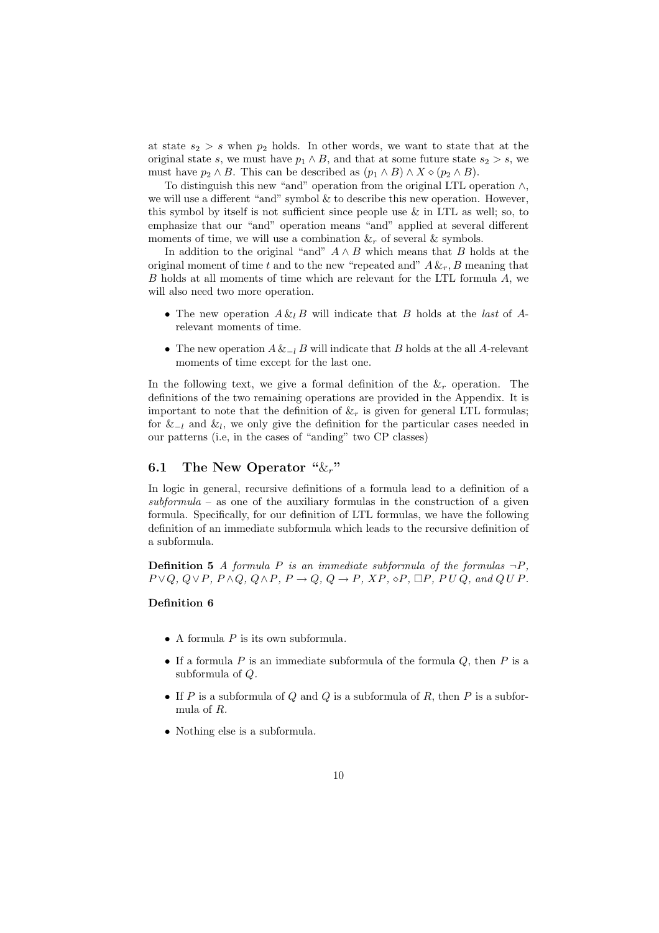at state  $s_2 > s$  when  $p_2$  holds. In other words, we want to state that at the original state s, we must have  $p_1 \wedge B$ , and that at some future state  $s_2 > s$ , we must have  $p_2 \wedge B$ . This can be described as  $(p_1 \wedge B) \wedge X \diamond (p_2 \wedge B)$ .

To distinguish this new "and" operation from the original LTL operation ∧, we will use a different "and" symbol  $\&$  to describe this new operation. However, this symbol by itself is not sufficient since people use & in LTL as well; so, to emphasize that our "and" operation means "and" applied at several different moments of time, we will use a combination  $\&c$  of several  $&$  symbols.

In addition to the original "and"  $A \wedge B$  which means that B holds at the original moment of time t and to the new "repeated and"  $A \&_{r}$ , B meaning that B holds at all moments of time which are relevant for the LTL formula A, we will also need two more operation.

- The new operation  $A \& B$  will indicate that B holds at the last of Arelevant moments of time.
- The new operation  $A \&_{-l} B$  will indicate that B holds at the all A-relevant moments of time except for the last one.

In the following text, we give a formal definition of the  $\&$  peration. The definitions of the two remaining operations are provided in the Appendix. It is important to note that the definition of  $\&_r$  is given for general LTL formulas; for  $&_{-l}$  and  $&_{l}$ , we only give the definition for the particular cases needed in our patterns (i.e, in the cases of "anding" two CP classes)

### 6.1 The New Operator " $\&_r$ "

In logic in general, recursive definitions of a formula lead to a definition of a  $subformula -$  as one of the auxiliary formulas in the construction of a given formula. Specifically, for our definition of LTL formulas, we have the following definition of an immediate subformula which leads to the recursive definition of a subformula.

**Definition 5** A formula P is an immediate subformula of the formulas  $\neg P$ ,  $P \vee Q$ ,  $Q \vee P$ ,  $P \wedge Q$ ,  $Q \wedge P$ ,  $P \rightarrow Q$ ,  $Q \rightarrow P$ ,  $XP$ ,  $\diamond P$ ,  $\Box P$ ,  $P U Q$ , and  $Q U P$ .

#### Definition 6

- A formula  $P$  is its own subformula.
- If a formula  $P$  is an immediate subformula of the formula  $Q$ , then  $P$  is a subformula of Q.
- If P is a subformula of Q and Q is a subformula of R, then P is a subformula of R.
- Nothing else is a subformula.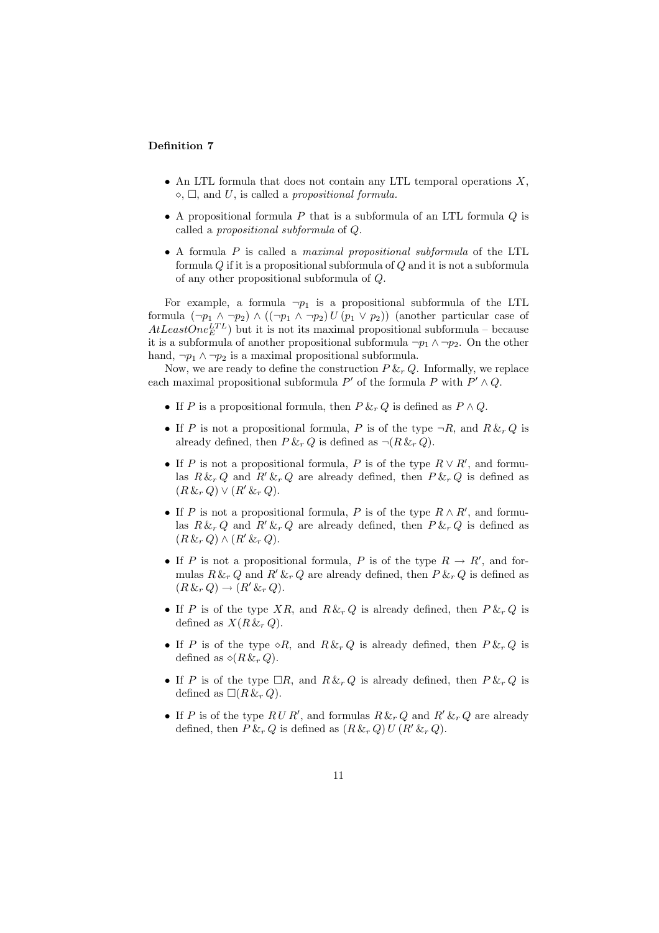#### Definition 7

- An LTL formula that does not contain any LTL temporal operations  $X$ ,  $\diamond$ ,  $\square$ , and U, is called a propositional formula.
- A propositional formula  $P$  that is a subformula of an LTL formula  $Q$  is called a propositional subformula of Q.
- A formula P is called a maximal propositional subformula of the LTL formula Q if it is a propositional subformula of Q and it is not a subformula of any other propositional subformula of Q.

For example, a formula  $\neg p_1$  is a propositional subformula of the LTL formula  $(\neg p_1 \land \neg p_2) \land ((\neg p_1 \land \neg p_2) U (p_1 \lor p_2))$  (another particular case of  $AtLeastOne<sub>E</sub><sup>TTL</sup>$  but it is not its maximal propositional subformula – because it is a subformula of another propositional subformula  $\neg p_1 \wedge \neg p_2$ . On the other hand,  $\neg p_1 \land \neg p_2$  is a maximal propositional subformula.

Now, we are ready to define the construction  $P \&_{r} Q$ . Informally, we replace each maximal propositional subformula  $P'$  of the formula P with  $P' \wedge Q$ .

- If P is a propositional formula, then  $P \&_{r} Q$  is defined as  $P \wedge Q$ .
- If P is not a propositional formula, P is of the type  $\neg R$ , and  $R \&_{r} Q$  is already defined, then  $P \&_{r} Q$  is defined as  $\neg (R \&_{r} Q)$ .
- If P is not a propositional formula, P is of the type  $R \vee R'$ , and formulas  $R \&_{r} Q$  and  $R' \&_{r} Q$  are already defined, then  $P \&_{r} Q$  is defined as  $(R\,\&\, r\,Q) \vee (R'\,\&\, r\,Q).$
- If P is not a propositional formula, P is of the type  $R \wedge R'$ , and formulas  $R \&_{r} Q$  and  $R' \&_{r} Q$  are already defined, then  $P \&_{r} Q$  is defined as  $(R \&_{r} Q) \wedge (R' \&_{r} Q).$
- If P is not a propositional formula, P is of the type  $R \to R'$ , and formulas  $R \&_{r} Q$  and  $R' \&_{r} Q$  are already defined, then  $P \&_{r} Q$  is defined as  $(R \&_{r} Q) \rightarrow (R' \&_{r} Q).$
- If P is of the type  $XR$ , and  $R \&_{r} Q$  is already defined, then  $P \&_{r} Q$  is defined as  $X(R \&_{r} Q)$ .
- If P is of the type  $\circ R$ , and  $R \& R \& R$  is already defined, then  $P \& R \& R$ defined as  $\diamond (R \& r Q)$ .
- If P is of the type  $\Box R$ , and  $R \& R \& Q$  is already defined, then  $P \& R \& Q$  is defined as  $\Box(R\,\&\, r\,Q)$ .
- If P is of the type  $RUR'$ , and formulas  $R \&_{r} Q$  and  $R' \&_{r} Q$  are already defined, then  $P \&_{r} Q$  is defined as  $(R \&_{r} Q) U (R' \&_{r} Q)$ .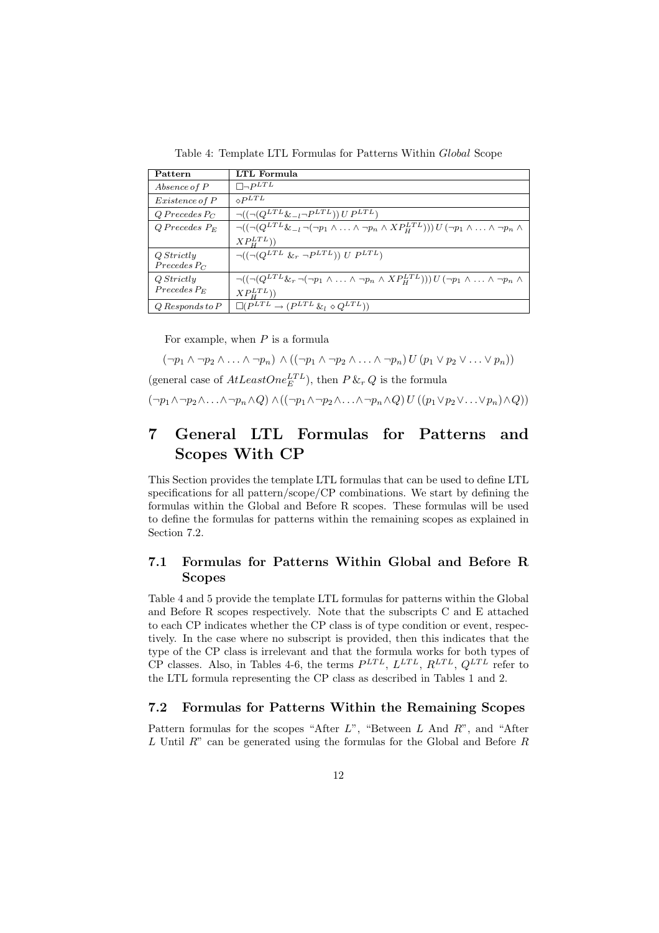Table 4: Template LTL Formulas for Patterns Within Global Scope

| Pattern               | LTL Formula                                                                                                                                                                                                                                                                                                                                                                                                                                                                         |
|-----------------------|-------------------------------------------------------------------------------------------------------------------------------------------------------------------------------------------------------------------------------------------------------------------------------------------------------------------------------------------------------------------------------------------------------------------------------------------------------------------------------------|
| Absence of P          | $\Box \neg P^{LTL}$                                                                                                                                                                                                                                                                                                                                                                                                                                                                 |
| <i>Existence of P</i> | $\circ$ <i>PLTL</i>                                                                                                                                                                                                                                                                                                                                                                                                                                                                 |
| $Q$ Precedes P $C$    | $\bigcap ((\bigcap (Q^{LTL} \& \bigcap P^{LTL}) \vee U P^{LTL})$                                                                                                                                                                                                                                                                                                                                                                                                                    |
| $Q$ Precedes $P_E$    | $\neg((\neg(Q^{LTL}\&_{-l}\neg(\neg p_1\land\ldots\land\neg p_n\land XP^{LTL}_H)))U(\neg p_1\land\ldots\land\neg p_n\land\neg p_n\land\ldots\land\neg p_n\land\neg p_n\land\neg p_n\land\neg p_n\land\neg p_n\land\neg p_n\land\neg p_n\land\neg p_n\land\neg p_n\land\neg p_n\land\neg p_n\land\neg p_n\land\neg p_n\land\neg p_n\land\neg p_n\land\neg p_n\land\neg p_n\land\neg p_n\land\neg p_n\land\neg p_n\land\neg p_n\land\neg p_n\land\neg p_n\land\neg p_n\land\neg p_n\$ |
|                       | $XP_{H}^{LTL}$ )                                                                                                                                                                                                                                                                                                                                                                                                                                                                    |
| Q Strictly            | $\neg((\neg(Q^{LTL} \&_{r} \neg P^{LTL})) U P^{LTL})$                                                                                                                                                                                                                                                                                                                                                                                                                               |
| $Precedes$ $P_C$      |                                                                                                                                                                                                                                                                                                                                                                                                                                                                                     |
| Q Strictly            | $\neg((\neg(Q^{LTL}\&_{r} \neg(\neg p_1 \land \ldots \land \neg p_n \land XP_{H}^{LTL}))) U (\neg p_1 \land \ldots \land \neg p_n \land$                                                                                                                                                                                                                                                                                                                                            |
| $Precedes P_E$        | $XP_{H}^{LTL})$                                                                                                                                                                                                                                                                                                                                                                                                                                                                     |
| $Q$ Responds to $P$   | $\Box (P^{LTL} \rightarrow (P^{LTL} \& l \diamond Q^{LTL}))$                                                                                                                                                                                                                                                                                                                                                                                                                        |

For example, when  $P$  is a formula

 $(\neg p_1 \land \neg p_2 \land \ldots \land \neg p_n) \land ((\neg p_1 \land \neg p_2 \land \ldots \land \neg p_n) U (p_1 \lor p_2 \lor \ldots \lor p_n))$ (general case of  $AtLeastOne<sub>E</sub><sup>LTL</sup>$ ), then  $P \&_{r} Q$  is the formula  $(\neg p_1 \land \neg p_2 \land \ldots \land \neg p_n \land Q) \land ((\neg p_1 \land \neg p_2 \land \ldots \land \neg p_n \land Q) U ((p_1 \lor p_2 \lor \ldots \lor p_n) \land Q))$ 

## 7 General LTL Formulas for Patterns and Scopes With CP

This Section provides the template LTL formulas that can be used to define LTL specifications for all pattern/scope/CP combinations. We start by defining the formulas within the Global and Before R scopes. These formulas will be used to define the formulas for patterns within the remaining scopes as explained in Section 7.2.

### 7.1 Formulas for Patterns Within Global and Before R Scopes

Table 4 and 5 provide the template LTL formulas for patterns within the Global and Before R scopes respectively. Note that the subscripts C and E attached to each CP indicates whether the CP class is of type condition or event, respectively. In the case where no subscript is provided, then this indicates that the type of the CP class is irrelevant and that the formula works for both types of CP classes. Also, in Tables 4-6, the terms  $P^{LTL}$ ,  $L^{LTL}$ ,  $R^{LTL}$ ,  $Q^{LTL}$  refer to the LTL formula representing the CP class as described in Tables 1 and 2.

#### 7.2 Formulas for Patterns Within the Remaining Scopes

Pattern formulas for the scopes "After  $L$ ", "Between  $L$  And  $R$ ", and "After L Until R" can be generated using the formulas for the Global and Before R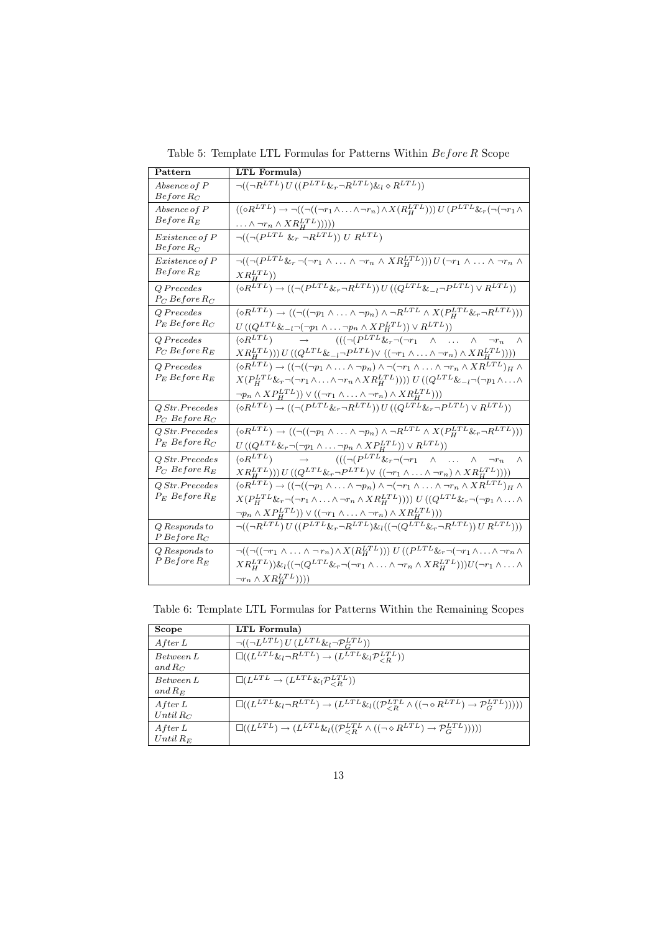| Pattern                              | LTL Formula)                                                                                                                                                                                                                                                                                                                                                                                                |
|--------------------------------------|-------------------------------------------------------------------------------------------------------------------------------------------------------------------------------------------------------------------------------------------------------------------------------------------------------------------------------------------------------------------------------------------------------------|
| Absence of P<br>$Before\,R_C$        | $\lnot((\lnot R^{LTL}) U ((P^{LTL} \&_{r} \lnot R^{LTL}) \&_{l} \diamond R^{LTL}))$                                                                                                                                                                                                                                                                                                                         |
| Absence of P<br>$Before$ $R_E$       | $((\Diamond R^{LTL}) \rightarrow \neg ((\neg ((\neg r_1 \land \ldots \land \neg r_n) \land X(R_H^{LTL}))) U(P^{LTL} \&_r (\neg (\neg r_1 \land \ldots \land \neg r_n))$<br>$\ldots \wedge \neg r_n \wedge XR_H^{LTL})))$                                                                                                                                                                                    |
| Existence of P<br>$Before R_C$       | $\neg((\neg (P^{LTL} \&_{r} \neg R^{LTL})) U R^{LTL})$                                                                                                                                                                                                                                                                                                                                                      |
| Existence of P<br>$Before$ $R_E$     | $\neg((\neg (P^{LTL} \& _{r} \neg (\neg r_1 \wedge \ldots \wedge \neg r_n \wedge XR_H^{LTL}))) U (\neg r_1 \wedge \ldots \wedge \neg r_n \wedge$<br>$XR_{H}^{LTL}))$                                                                                                                                                                                                                                        |
| Q Precedes<br>$P_C$ Before $R_C$     | $\overline{(\diamond R^{LTL})\rightarrow ((\neg (P^{LTL}\&_{r}\neg R^{LTL}))\,U\,((Q^{LTL}\&_{-l}\neg P^{LTL})\vee R^{LTL}))}$                                                                                                                                                                                                                                                                              |
| Q Precedes<br>$P_E$ Before $R_C$     | $(\diamond R^{LTL}) \rightarrow ((\neg ((\neg p_1 \land \ldots \land \neg p_n) \land \neg R^{LTL} \land X(P_H^{LTL} \& \neg R^{LTL})))$<br>$U\left((Q^{LTL}\&_{-l}\neg(\neg p_1 \wedge \ldots \neg p_n \wedge XP_H^{LTL})\right) \vee R^{LTL})\right)$                                                                                                                                                      |
| $Q$ Precedes<br>$P_C$ Before $R_E$   | $(((\neg (P^{LTL} \& \neg (\neg r_1 \wedge \ldots \wedge$<br>$(\Diamond R^{LTL}) \rightarrow$<br>$\neg r_n$<br>$\wedge$<br>$XR_{H}^{LTL})))\, U \,((Q^{LTL} \& -{}_{l} \neg P_{\_}^{LTL}) \vee \,((\neg r_{1} \wedge \ldots \wedge \neg r_{n}) \wedge XR_{H}^{LTL})) ))$                                                                                                                                    |
| Q Precedes<br>$P_E$ Before $R_E$     | $(\Diamond R^{LTL}) \rightarrow ((\neg ((\neg p_1 \land \ldots \land \neg p_n) \land \neg (\neg r_1 \land \ldots \land \neg r_n \land XR^{LTL})_H \land$<br>$\neg p_n \wedge XP_H^{LTL})\vee ((\neg r_1 \wedge \ldots \wedge \neg r_n) \wedge XR_H^{LTL}))$                                                                                                                                                 |
| QStr.Precedes<br>$P_C$ Before $R_C$  | $(\diamond R^{LTL}) \rightarrow ((\neg (P^{LTL} \& r \neg R^{LTL})) U ((Q^{LTL} \& r \neg P^{LTL}) \vee R^{LTL}))$                                                                                                                                                                                                                                                                                          |
| QStr.Precedes<br>$P_E$ Before $R_C$  | $(\diamond R^{LTL}) \rightarrow ((\neg ((\neg p_1 \land \ldots \land \neg p_n) \land \neg R^{LTL} \land X(P_H^{LTL} \&_r \neg R^{LTL})))$<br>$U((Q^{LTL}\& \neg(\neg p_1 \land \ldots \neg p_n \land XP_H^{LTL})) \lor R^{LTL}))$                                                                                                                                                                           |
| Q Str.Precedes<br>$P_C$ Before $R_E$ | $\rightarrow$ $(((\neg (P^{LTL} \& r \neg (\neg r_1 \wedge \dots \wedge$<br>$\left(\diamond R^{LTL}\right)$<br>$\neg r_n$<br>$\wedge$<br>$XR_{H}^{LTL})))\, U \,((Q^{LTL}\&_{r} \neg P^{LTL}) \vee \,((\neg r_{1} \wedge \ldots \wedge \neg r_{n}) \wedge XR_{H}^{LTL}))))$                                                                                                                                 |
| Q Str.Precedes<br>$P_E$ Before $R_E$ | $(\Diamond R^{LTL}) \rightarrow ((\neg ((\neg p_1 \land \ldots \land \neg p_n) \land \neg (\neg r_1 \land \ldots \land \neg r_n \land XR^{LTL})_H \land$<br>$X(P_H^{LTL} \& r \neg (\neg r_1 \wedge \ldots \wedge \neg r_n \wedge XR_H^{LTL}))) \cup ((Q^{LTL} \& r \neg (\neg p_1 \wedge \ldots \wedge$<br>$\neg p_n \wedge XP_H^{LTL})\vee ((\neg r_1 \wedge \ldots \wedge \neg r_n) \wedge XR_H^{LTL}))$ |
| $Q$ Responds to<br>$P$ Before $R_C$  | $\lnot((\lnot R^{LTL}) U ((P^{LTL} \&_{r} \lnot R^{LTL}) \&_{l} ((\lnot (Q^{LTL} \&_{r} \lnot R^{LTL})) U R^{LTL})))$                                                                                                                                                                                                                                                                                       |
| Q Responds to<br>$P$ Before $R_E$    | $\lnot((\lnot((\lnot r_1 \land \ldots \land \lnot r_n) \land X(R_H^{LTL}))) U((P^{LTL} \& r \lnot(\lnot r_1 \land \ldots \land \lnot r_n \land$<br>$XR_{H}^{LTL}))\&( (\neg (Q^{LTL}\&_{r} \neg (\neg r_1 \wedge \ldots \wedge \neg r_n \wedge XR_{H}^{LTL})))U(\neg r_1 \wedge \ldots \wedge$<br>$\neg r_n \wedge XR_H^{LTL})))$                                                                           |
|                                      |                                                                                                                                                                                                                                                                                                                                                                                                             |

Table 5: Template LTL Formulas for Patterns Within  $\operatorname{Before} R$  Scope

Table 6: Template LTL Formulas for Patterns Within the Remaining Scopes

| Scope                  | LTL Formula)                                                                                                                                                  |
|------------------------|---------------------------------------------------------------------------------------------------------------------------------------------------------------|
| After L                | $\lnot ((\lnot L^{LTL}) U (L^{LTL} \& {}_{l} \lnot \mathcal{P}^{LTL}_{C}))$                                                                                   |
| Between L<br>and $R_C$ | $\square((L^{LTL}\&l \neg R^{LTL}) \rightarrow (L^{LTL}\&l \mathcal{P}_{\leq R}^{LTL}))$                                                                      |
| Between L<br>and $R_E$ | $\Box(L^{LTL} \rightarrow (L^{LTL} \& l \mathcal{P}_{\leq R}^{LTL}))$                                                                                         |
| After L<br>Until $R_C$ | $\square((L^{LTL}\&l \neg R^{LTL}) \rightarrow (L^{LTL}\&l((\mathcal{P}_{\leq R}^{LTL} \wedge ((\neg \diamond R^{LTL}) \rightarrow \mathcal{P}_{G}^{LTL}))))$ |
| After L<br>Until $R_E$ | $\square((L^{LTL}) \rightarrow (L^{LTL} \& l((\mathcal{P}_{\leq R}^{LTL} \wedge ((\neg \diamond R^{LTL}) \rightarrow \mathcal{P}_{G}^{LTL}))))$               |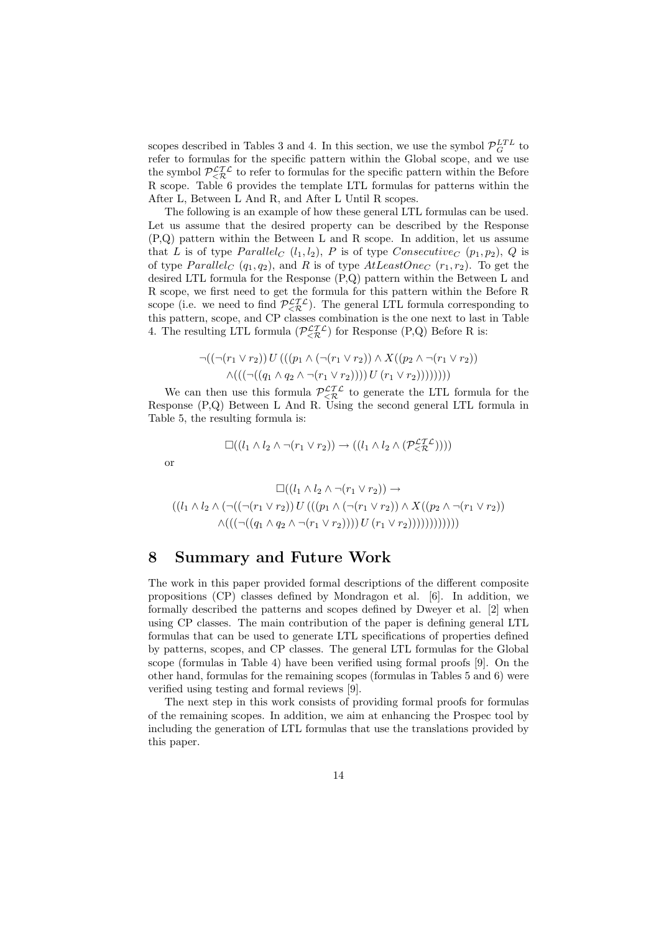scopes described in Tables 3 and 4. In this section, we use the symbol  $\mathcal{P}_G^{LTL}$  to refer to formulas for the specific pattern within the Global scope, and we use the symbol  $\mathcal{P}^{\mathcal{LTL}}_{\leq \mathcal{R}}$  to refer to formulas for the specific pattern within the Before R scope. Table 6 provides the template LTL formulas for patterns within the After L, Between L And R, and After L Until R scopes.

The following is an example of how these general LTL formulas can be used. Let us assume that the desired property can be described by the Response (P,Q) pattern within the Between L and R scope. In addition, let us assume that L is of type  $Parallel_C (l_1, l_2), P$  is of type  $Consecutive_C (p_1, p_2), Q$  is of type  $Parallel_C (q_1, q_2)$ , and R is of type  $AtLeastOne_C (r_1, r_2)$ . To get the desired LTL formula for the Response (P,Q) pattern within the Between L and R scope, we first need to get the formula for this pattern within the Before R scope (i.e. we need to find  $\mathcal{P}_{\leq \mathcal{R}}^{\mathcal{L} \mathcal{I} \mathcal{L}}$ ). The general LTL formula corresponding to this pattern, scope, and CP classes combination is the one next to last in Table 4. The resulting LTL formula  $(\mathcal{P}_{\leq \mathcal{R}}^{\mathcal{L}\mathcal{I}\mathcal{L}})$  for Response (P,Q) Before R is:

$$
\neg((\neg(r_1 \lor r_2)) U (((p_1 \land (\neg(r_1 \lor r_2)) \land X ((p_2 \land \neg(r_1 \lor r_2)))\land ((\neg((q_1 \land q_2 \land \neg(r_1 \lor r_2))))))))))
$$

We can then use this formula  $\mathcal{P}_{\leq \mathcal{R}}^{\mathcal{L} \mathcal{I} \mathcal{L}}$  to generate the LTL formula for the Response (P,Q) Between L And R. Using the second general LTL formula in Table 5, the resulting formula is:

$$
\Box((l_1 \land l_2 \land \neg(r_1 \lor r_2)) \rightarrow ((l_1 \land l_2 \land (\mathcal{P}_{\leq \mathcal{R}}^{\mathcal{LT}}))))
$$

or

$$
\Box((l_1 \land l_2 \land \neg(r_1 \lor r_2)) \rightarrow ((l_1 \land l_2 \land (\neg((\neg(r_1 \lor r_2)) U)((p_1 \land (\neg(r_1 \lor r_2)) \land X((p_2 \land \neg(r_1 \lor r_2))) \land (((\neg((q_1 \land q_2 \land \neg(r_1 \lor r_2)))) U(r_1 \lor r_2))))))))))))
$$

### 8 Summary and Future Work

The work in this paper provided formal descriptions of the different composite propositions (CP) classes defined by Mondragon et al. [6]. In addition, we formally described the patterns and scopes defined by Dweyer et al. [2] when using CP classes. The main contribution of the paper is defining general LTL formulas that can be used to generate LTL specifications of properties defined by patterns, scopes, and CP classes. The general LTL formulas for the Global scope (formulas in Table 4) have been verified using formal proofs [9]. On the other hand, formulas for the remaining scopes (formulas in Tables 5 and 6) were verified using testing and formal reviews [9].

The next step in this work consists of providing formal proofs for formulas of the remaining scopes. In addition, we aim at enhancing the Prospec tool by including the generation of LTL formulas that use the translations provided by this paper.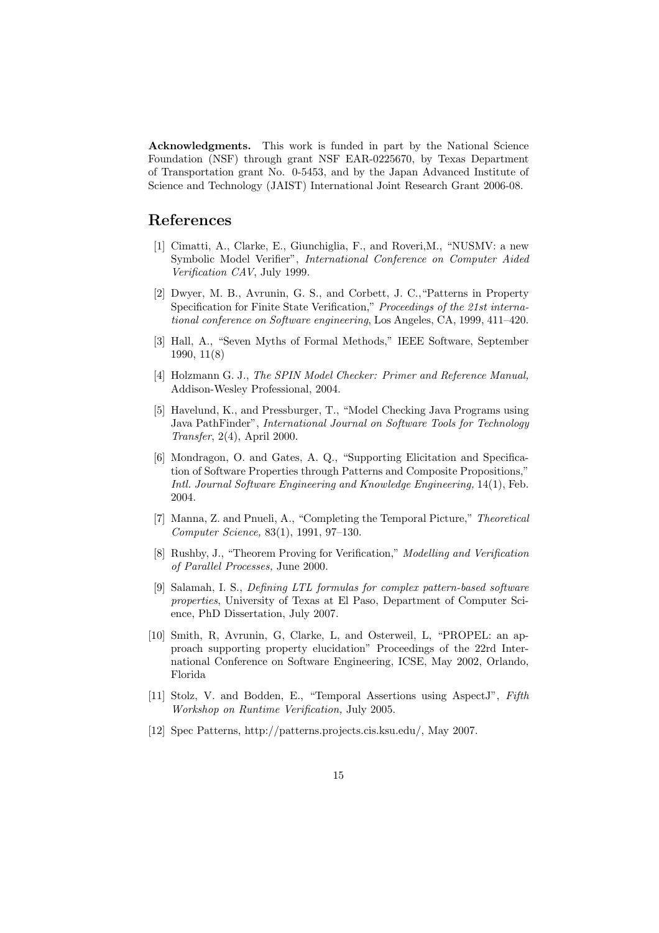Acknowledgments. This work is funded in part by the National Science Foundation (NSF) through grant NSF EAR-0225670, by Texas Department of Transportation grant No. 0-5453, and by the Japan Advanced Institute of Science and Technology (JAIST) International Joint Research Grant 2006-08.

## References

- [1] Cimatti, A., Clarke, E., Giunchiglia, F., and Roveri,M., "NUSMV: a new Symbolic Model Verifier", International Conference on Computer Aided Verification CAV, July 1999.
- [2] Dwyer, M. B., Avrunin, G. S., and Corbett, J. C.,"Patterns in Property Specification for Finite State Verification," Proceedings of the 21st international conference on Software engineering, Los Angeles, CA, 1999, 411–420.
- [3] Hall, A., "Seven Myths of Formal Methods," IEEE Software, September 1990, 11(8)
- [4] Holzmann G. J., The SPIN Model Checker: Primer and Reference Manual, Addison-Wesley Professional, 2004.
- [5] Havelund, K., and Pressburger, T., "Model Checking Java Programs using Java PathFinder", International Journal on Software Tools for Technology Transfer, 2(4), April 2000.
- [6] Mondragon, O. and Gates, A. Q., "Supporting Elicitation and Specification of Software Properties through Patterns and Composite Propositions," Intl. Journal Software Engineering and Knowledge Engineering, 14(1), Feb. 2004.
- [7] Manna, Z. and Pnueli, A., "Completing the Temporal Picture," Theoretical Computer Science, 83(1), 1991, 97–130.
- [8] Rushby, J., "Theorem Proving for Verification," Modelling and Verification of Parallel Processes, June 2000.
- [9] Salamah, I. S., Defining LTL formulas for complex pattern-based software properties, University of Texas at El Paso, Department of Computer Science, PhD Dissertation, July 2007.
- [10] Smith, R, Avrunin, G, Clarke, L, and Osterweil, L, "PROPEL: an approach supporting property elucidation" Proceedings of the 22rd International Conference on Software Engineering, ICSE, May 2002, Orlando, Florida
- [11] Stolz, V. and Bodden, E., "Temporal Assertions using AspectJ", Fifth Workshop on Runtime Verification, July 2005.
- [12] Spec Patterns, http://patterns.projects.cis.ksu.edu/, May 2007.